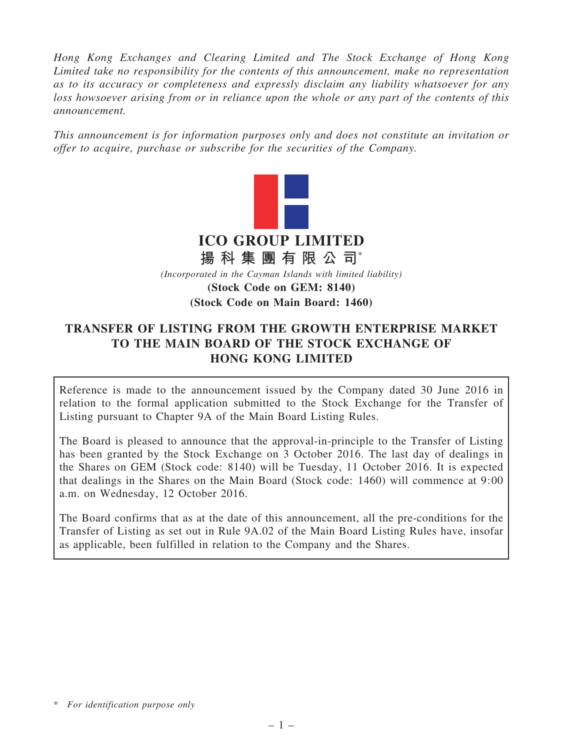*Hong Kong Exchanges and Clearing Limited and The Stock Exchange of Hong Kong Limited take no responsibility for the contents of this announcement, make no representation as to its accuracy or completeness and expressly disclaim any liability whatsoever for any loss howsoever arising from or in reliance upon the whole or any part of the contents of this announcement.*

*This announcement is for information purposes only and does not constitute an invitation or offer to acquire, purchase or subscribe for the securities of the Company.*



# TRANSFER OF LISTING FROM THE GROWTH ENTERPRISE MARKET TO THE MAIN BOARD OF THE STOCK EXCHANGE OF HONG KONG LIMITED

Reference is made to the announcement issued by the Company dated 30 June 2016 in relation to the formal application submitted to the Stock Exchange for the Transfer of Listing pursuant to Chapter 9A of the Main Board Listing Rules.

The Board is pleased to announce that the approval-in-principle to the Transfer of Listing has been granted by the Stock Exchange on 3 October 2016. The last day of dealings in the Shares on GEM (Stock code: 8140) will be Tuesday, 11 October 2016. It is expected that dealings in the Shares on the Main Board (Stock code: 1460) will commence at 9:00 a.m. on Wednesday, 12 October 2016.

The Board confirms that as at the date of this announcement, all the pre-conditions for the Transfer of Listing as set out in Rule 9A.02 of the Main Board Listing Rules have, insofar as applicable, been fulfilled in relation to the Company and the Shares.

<sup>\*</sup> *For identification purpose only*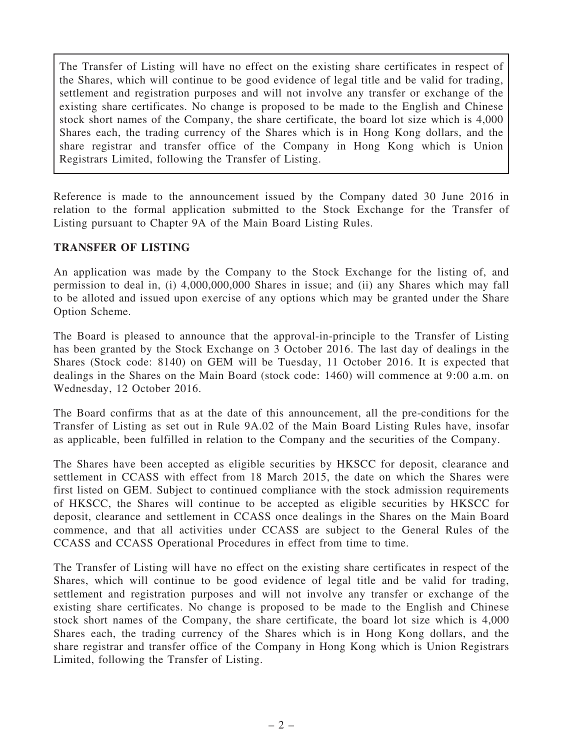The Transfer of Listing will have no effect on the existing share certificates in respect of the Shares, which will continue to be good evidence of legal title and be valid for trading, settlement and registration purposes and will not involve any transfer or exchange of the existing share certificates. No change is proposed to be made to the English and Chinese stock short names of the Company, the share certificate, the board lot size which is 4,000 Shares each, the trading currency of the Shares which is in Hong Kong dollars, and the share registrar and transfer office of the Company in Hong Kong which is Union Registrars Limited, following the Transfer of Listing.

Reference is made to the announcement issued by the Company dated 30 June 2016 in relation to the formal application submitted to the Stock Exchange for the Transfer of Listing pursuant to Chapter 9A of the Main Board Listing Rules.

## TRANSFER OF LISTING

An application was made by the Company to the Stock Exchange for the listing of, and permission to deal in, (i) 4,000,000,000 Shares in issue; and (ii) any Shares which may fall to be alloted and issued upon exercise of any options which may be granted under the Share Option Scheme.

The Board is pleased to announce that the approval-in-principle to the Transfer of Listing has been granted by the Stock Exchange on 3 October 2016. The last day of dealings in the Shares (Stock code: 8140) on GEM will be Tuesday, 11 October 2016. It is expected that dealings in the Shares on the Main Board (stock code: 1460) will commence at 9:00 a.m. on Wednesday, 12 October 2016.

The Board confirms that as at the date of this announcement, all the pre-conditions for the Transfer of Listing as set out in Rule 9A.02 of the Main Board Listing Rules have, insofar as applicable, been fulfilled in relation to the Company and the securities of the Company.

The Shares have been accepted as eligible securities by HKSCC for deposit, clearance and settlement in CCASS with effect from 18 March 2015, the date on which the Shares were first listed on GEM. Subject to continued compliance with the stock admission requirements of HKSCC, the Shares will continue to be accepted as eligible securities by HKSCC for deposit, clearance and settlement in CCASS once dealings in the Shares on the Main Board commence, and that all activities under CCASS are subject to the General Rules of the CCASS and CCASS Operational Procedures in effect from time to time.

The Transfer of Listing will have no effect on the existing share certificates in respect of the Shares, which will continue to be good evidence of legal title and be valid for trading, settlement and registration purposes and will not involve any transfer or exchange of the existing share certificates. No change is proposed to be made to the English and Chinese stock short names of the Company, the share certificate, the board lot size which is 4,000 Shares each, the trading currency of the Shares which is in Hong Kong dollars, and the share registrar and transfer office of the Company in Hong Kong which is Union Registrars Limited, following the Transfer of Listing.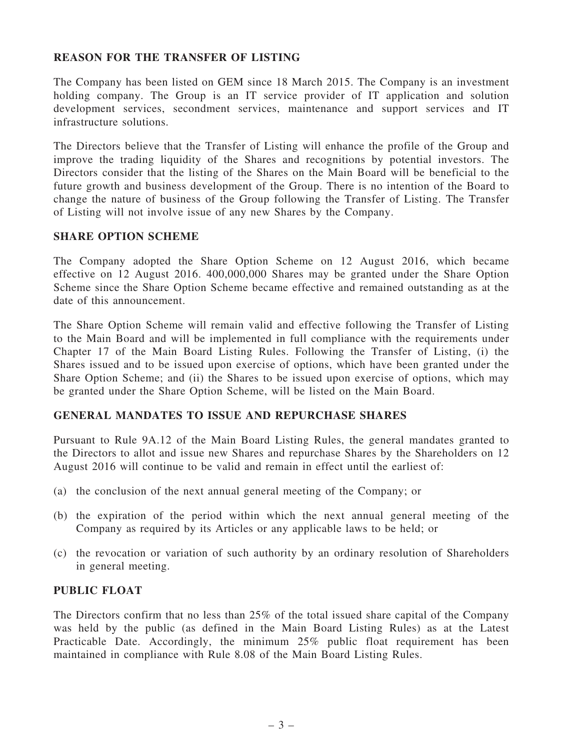## REASON FOR THE TRANSFER OF LISTING

The Company has been listed on GEM since 18 March 2015. The Company is an investment holding company. The Group is an IT service provider of IT application and solution development services, secondment services, maintenance and support services and IT infrastructure solutions.

The Directors believe that the Transfer of Listing will enhance the profile of the Group and improve the trading liquidity of the Shares and recognitions by potential investors. The Directors consider that the listing of the Shares on the Main Board will be beneficial to the future growth and business development of the Group. There is no intention of the Board to change the nature of business of the Group following the Transfer of Listing. The Transfer of Listing will not involve issue of any new Shares by the Company.

#### SHARE OPTION SCHEME

The Company adopted the Share Option Scheme on 12 August 2016, which became effective on 12 August 2016. 400,000,000 Shares may be granted under the Share Option Scheme since the Share Option Scheme became effective and remained outstanding as at the date of this announcement.

The Share Option Scheme will remain valid and effective following the Transfer of Listing to the Main Board and will be implemented in full compliance with the requirements under Chapter 17 of the Main Board Listing Rules. Following the Transfer of Listing, (i) the Shares issued and to be issued upon exercise of options, which have been granted under the Share Option Scheme; and (ii) the Shares to be issued upon exercise of options, which may be granted under the Share Option Scheme, will be listed on the Main Board.

#### GENERAL MANDATES TO ISSUE AND REPURCHASE SHARES

Pursuant to Rule 9A.12 of the Main Board Listing Rules, the general mandates granted to the Directors to allot and issue new Shares and repurchase Shares by the Shareholders on 12 August 2016 will continue to be valid and remain in effect until the earliest of:

- (a) the conclusion of the next annual general meeting of the Company; or
- (b) the expiration of the period within which the next annual general meeting of the Company as required by its Articles or any applicable laws to be held; or
- (c) the revocation or variation of such authority by an ordinary resolution of Shareholders in general meeting.

### PUBLIC FLOAT

The Directors confirm that no less than 25% of the total issued share capital of the Company was held by the public (as defined in the Main Board Listing Rules) as at the Latest Practicable Date. Accordingly, the minimum 25% public float requirement has been maintained in compliance with Rule 8.08 of the Main Board Listing Rules.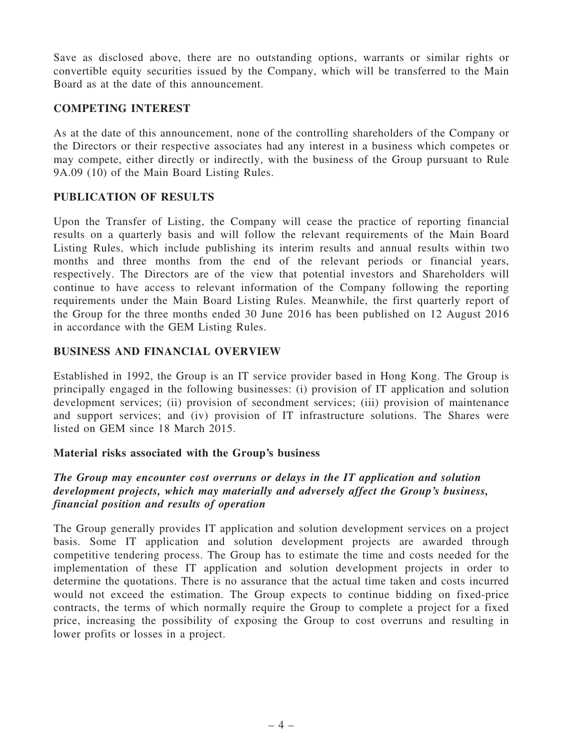Save as disclosed above, there are no outstanding options, warrants or similar rights or convertible equity securities issued by the Company, which will be transferred to the Main Board as at the date of this announcement.

### COMPETING INTEREST

As at the date of this announcement, none of the controlling shareholders of the Company or the Directors or their respective associates had any interest in a business which competes or may compete, either directly or indirectly, with the business of the Group pursuant to Rule 9A.09 (10) of the Main Board Listing Rules.

## PUBLICATION OF RESULTS

Upon the Transfer of Listing, the Company will cease the practice of reporting financial results on a quarterly basis and will follow the relevant requirements of the Main Board Listing Rules, which include publishing its interim results and annual results within two months and three months from the end of the relevant periods or financial years, respectively. The Directors are of the view that potential investors and Shareholders will continue to have access to relevant information of the Company following the reporting requirements under the Main Board Listing Rules. Meanwhile, the first quarterly report of the Group for the three months ended 30 June 2016 has been published on 12 August 2016 in accordance with the GEM Listing Rules.

## BUSINESS AND FINANCIAL OVERVIEW

Established in 1992, the Group is an IT service provider based in Hong Kong. The Group is principally engaged in the following businesses: (i) provision of IT application and solution development services; (ii) provision of secondment services; (iii) provision of maintenance and support services; and (iv) provision of IT infrastructure solutions. The Shares were listed on GEM since 18 March 2015.

## Material risks associated with the Group's business

## The Group may encounter cost overruns or delays in the IT application and solution development projects, which may materially and adversely affect the Group's business, financial position and results of operation

The Group generally provides IT application and solution development services on a project basis. Some IT application and solution development projects are awarded through competitive tendering process. The Group has to estimate the time and costs needed for the implementation of these IT application and solution development projects in order to determine the quotations. There is no assurance that the actual time taken and costs incurred would not exceed the estimation. The Group expects to continue bidding on fixed-price contracts, the terms of which normally require the Group to complete a project for a fixed price, increasing the possibility of exposing the Group to cost overruns and resulting in lower profits or losses in a project.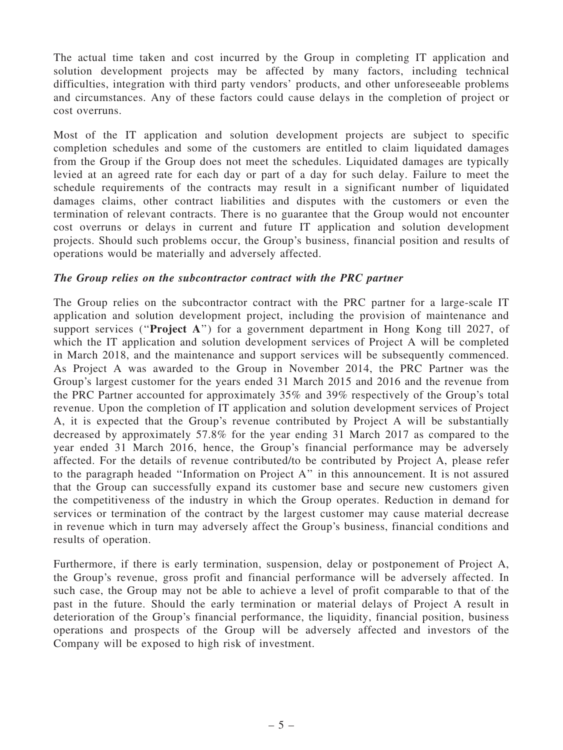The actual time taken and cost incurred by the Group in completing IT application and solution development projects may be affected by many factors, including technical difficulties, integration with third party vendors' products, and other unforeseeable problems and circumstances. Any of these factors could cause delays in the completion of project or cost overruns.

Most of the IT application and solution development projects are subject to specific completion schedules and some of the customers are entitled to claim liquidated damages from the Group if the Group does not meet the schedules. Liquidated damages are typically levied at an agreed rate for each day or part of a day for such delay. Failure to meet the schedule requirements of the contracts may result in a significant number of liquidated damages claims, other contract liabilities and disputes with the customers or even the termination of relevant contracts. There is no guarantee that the Group would not encounter cost overruns or delays in current and future IT application and solution development projects. Should such problems occur, the Group's business, financial position and results of operations would be materially and adversely affected.

## The Group relies on the subcontractor contract with the PRC partner

The Group relies on the subcontractor contract with the PRC partner for a large-scale IT application and solution development project, including the provision of maintenance and support services ("Project A") for a government department in Hong Kong till 2027, of which the IT application and solution development services of Project A will be completed in March 2018, and the maintenance and support services will be subsequently commenced. As Project A was awarded to the Group in November 2014, the PRC Partner was the Group's largest customer for the years ended 31 March 2015 and 2016 and the revenue from the PRC Partner accounted for approximately 35% and 39% respectively of the Group's total revenue. Upon the completion of IT application and solution development services of Project A, it is expected that the Group's revenue contributed by Project A will be substantially decreased by approximately 57.8% for the year ending 31 March 2017 as compared to the year ended 31 March 2016, hence, the Group's financial performance may be adversely affected. For the details of revenue contributed/to be contributed by Project A, please refer to the paragraph headed ''Information on Project A'' in this announcement. It is not assured that the Group can successfully expand its customer base and secure new customers given the competitiveness of the industry in which the Group operates. Reduction in demand for services or termination of the contract by the largest customer may cause material decrease in revenue which in turn may adversely affect the Group's business, financial conditions and results of operation.

Furthermore, if there is early termination, suspension, delay or postponement of Project A, the Group's revenue, gross profit and financial performance will be adversely affected. In such case, the Group may not be able to achieve a level of profit comparable to that of the past in the future. Should the early termination or material delays of Project A result in deterioration of the Group's financial performance, the liquidity, financial position, business operations and prospects of the Group will be adversely affected and investors of the Company will be exposed to high risk of investment.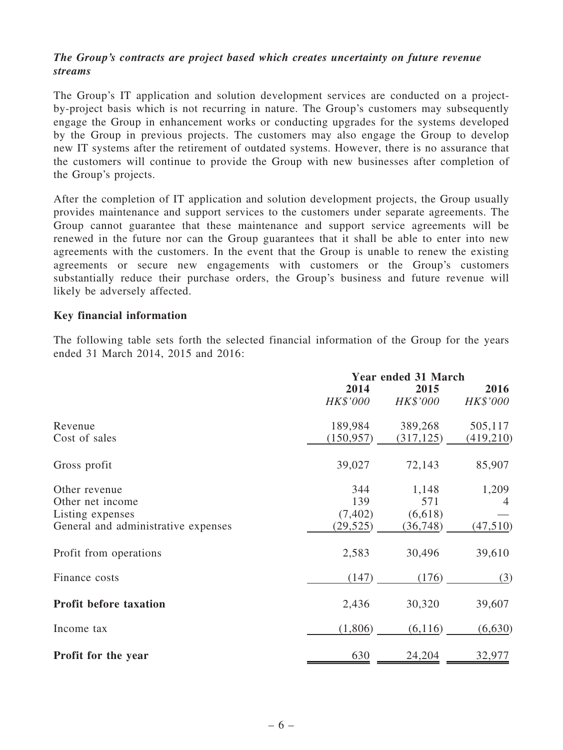## The Group's contracts are project based which creates uncertainty on future revenue streams

The Group's IT application and solution development services are conducted on a projectby-project basis which is not recurring in nature. The Group's customers may subsequently engage the Group in enhancement works or conducting upgrades for the systems developed by the Group in previous projects. The customers may also engage the Group to develop new IT systems after the retirement of outdated systems. However, there is no assurance that the customers will continue to provide the Group with new businesses after completion of the Group's projects.

After the completion of IT application and solution development projects, the Group usually provides maintenance and support services to the customers under separate agreements. The Group cannot guarantee that these maintenance and support service agreements will be renewed in the future nor can the Group guarantees that it shall be able to enter into new agreements with the customers. In the event that the Group is unable to renew the existing agreements or secure new engagements with customers or the Group's customers substantially reduce their purchase orders, the Group's business and future revenue will likely be adversely affected.

#### Key financial information

The following table sets forth the selected financial information of the Group for the years ended 31 March 2014, 2015 and 2016:

|                                     |            | <b>Year ended 31 March</b> |           |  |  |  |
|-------------------------------------|------------|----------------------------|-----------|--|--|--|
|                                     | 2014       | 2015                       | 2016      |  |  |  |
|                                     | HK\$'000   | HK\$'000                   | HK\$'000  |  |  |  |
| Revenue                             | 189,984    | 389,268                    | 505,117   |  |  |  |
| Cost of sales                       | (150, 957) | (317, 125)                 | (419,210) |  |  |  |
| Gross profit                        | 39,027     | 72,143                     | 85,907    |  |  |  |
| Other revenue                       | 344        | 1,148                      | 1,209     |  |  |  |
| Other net income                    | 139        | 571                        | 4         |  |  |  |
| Listing expenses                    | (7, 402)   | (6,618)                    |           |  |  |  |
| General and administrative expenses | (29, 525)  | (36, 748)                  | (47,510)  |  |  |  |
| Profit from operations              | 2,583      | 30,496                     | 39,610    |  |  |  |
| Finance costs                       | (147)      | (176)                      | (3)       |  |  |  |
| <b>Profit before taxation</b>       | 2,436      | 30,320                     | 39,607    |  |  |  |
| Income tax                          | (1,806)    | (6,116)                    | (6,630)   |  |  |  |
| Profit for the year                 | 630        | 24,204                     | 32,977    |  |  |  |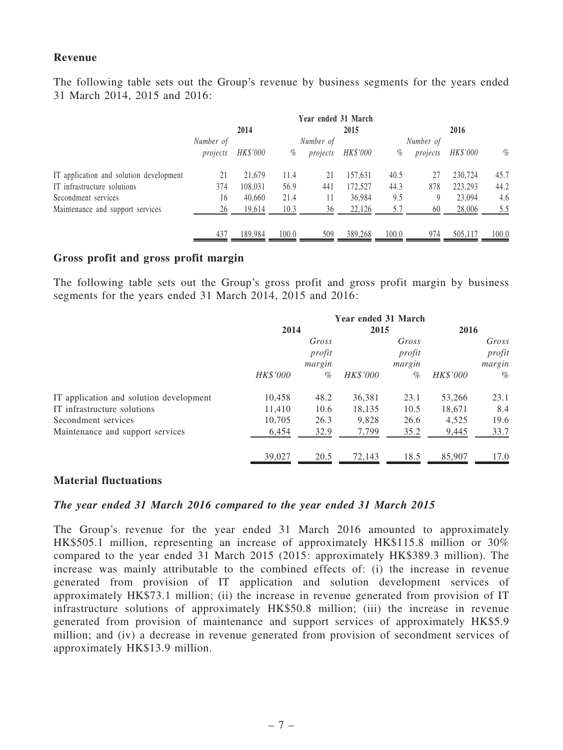#### Revenue

The following table sets out the Group's revenue by business segments for the years ended 31 March 2014, 2015 and 2016:

|                                         | Year ended 31 March |          |       |           |                 |       |           |          |       |
|-----------------------------------------|---------------------|----------|-------|-----------|-----------------|-------|-----------|----------|-------|
|                                         |                     | 2014     |       |           | 2015            |       |           | 2016     |       |
|                                         | Number of           |          |       | Number of |                 |       | Number of |          |       |
|                                         | projects            | HK\$'000 | %     | projects  | <i>HK\$'000</i> | $\%$  | projects  | HK\$'000 | $\%$  |
| IT application and solution development | 21                  | 21.679   | 11.4  | 21        | 157,631         | 40.5  | 27        | 230.724  | 45.7  |
| IT infrastructure solutions             | 374                 | 108.031  | 56.9  | 441       | 172,527         | 44.3  | 878       | 223,293  | 44.2  |
| Secondment services                     | 16                  | 40,660   | 21.4  | 11        | 36,984          | 9.5   | 9         | 23,094   | 4.6   |
| Maintenance and support services        | 26                  | 19,614   | 10.3  | 36        | 22,126          | 5.7   | 60        | 28,006   | 5.5   |
|                                         | 437                 | 189,984  | 100.0 | 509       | 389,268         | 100.0 | 974       | 505,117  | 100.0 |

#### Gross profit and gross profit margin

The following table sets out the Group's gross profit and gross profit margin by business segments for the years ended 31 March 2014, 2015 and 2016:

|                                         | Year ended 31 March |        |          |        |          |        |
|-----------------------------------------|---------------------|--------|----------|--------|----------|--------|
|                                         | 2014                |        | 2015     |        | 2016     |        |
|                                         |                     | Gross  |          | Gross  |          | Gross  |
|                                         |                     | profit |          | profit |          | profit |
|                                         |                     | margin |          | margin |          | margin |
|                                         | HK\$'000            | $\%$   | HK\$'000 | %      | HK\$'000 | $\%$   |
| IT application and solution development | 10,458              | 48.2   | 36,381   | 23.1   | 53,266   | 23.1   |
| IT infrastructure solutions             | 11,410              | 10.6   | 18,135   | 10.5   | 18,671   | 8.4    |
| Secondment services                     | 10.705              | 26.3   | 9.828    | 26.6   | 4,525    | 19.6   |
| Maintenance and support services        | 6,454               | 32.9   | 7,799    | 35.2   | 9,445    | 33.7   |
|                                         | 39,027              | 20.5   | 72,143   | 18.5   | 85,907   | 17.0   |

#### Material fluctuations

#### The year ended 31 March 2016 compared to the year ended 31 March 2015

The Group's revenue for the year ended 31 March 2016 amounted to approximately HK\$505.1 million, representing an increase of approximately HK\$115.8 million or 30% compared to the year ended 31 March 2015 (2015: approximately HK\$389.3 million). The increase was mainly attributable to the combined effects of: (i) the increase in revenue generated from provision of IT application and solution development services of approximately HK\$73.1 million; (ii) the increase in revenue generated from provision of IT infrastructure solutions of approximately HK\$50.8 million; (iii) the increase in revenue generated from provision of maintenance and support services of approximately HK\$5.9 million; and (iv) a decrease in revenue generated from provision of secondment services of approximately HK\$13.9 million.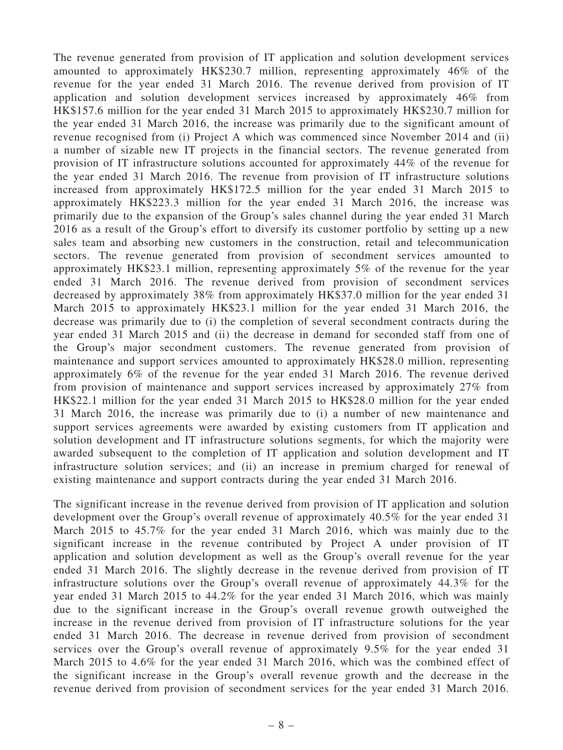The revenue generated from provision of IT application and solution development services amounted to approximately HK\$230.7 million, representing approximately 46% of the revenue for the year ended 31 March 2016. The revenue derived from provision of IT application and solution development services increased by approximately 46% from HK\$157.6 million for the year ended 31 March 2015 to approximately HK\$230.7 million for the year ended 31 March 2016, the increase was primarily due to the significant amount of revenue recognised from (i) Project A which was commenced since November 2014 and (ii) a number of sizable new IT projects in the financial sectors. The revenue generated from provision of IT infrastructure solutions accounted for approximately 44% of the revenue for the year ended 31 March 2016. The revenue from provision of IT infrastructure solutions increased from approximately HK\$172.5 million for the year ended 31 March 2015 to approximately HK\$223.3 million for the year ended 31 March 2016, the increase was primarily due to the expansion of the Group's sales channel during the year ended 31 March 2016 as a result of the Group's effort to diversify its customer portfolio by setting up a new sales team and absorbing new customers in the construction, retail and telecommunication sectors. The revenue generated from provision of secondment services amounted to approximately HK\$23.1 million, representing approximately 5% of the revenue for the year ended 31 March 2016. The revenue derived from provision of secondment services decreased by approximately 38% from approximately HK\$37.0 million for the year ended 31 March 2015 to approximately HK\$23.1 million for the year ended 31 March 2016, the decrease was primarily due to (i) the completion of several secondment contracts during the year ended 31 March 2015 and (ii) the decrease in demand for seconded staff from one of the Group's major secondment customers. The revenue generated from provision of maintenance and support services amounted to approximately HK\$28.0 million, representing approximately 6% of the revenue for the year ended 31 March 2016. The revenue derived from provision of maintenance and support services increased by approximately 27% from HK\$22.1 million for the year ended 31 March 2015 to HK\$28.0 million for the year ended 31 March 2016, the increase was primarily due to (i) a number of new maintenance and support services agreements were awarded by existing customers from IT application and solution development and IT infrastructure solutions segments, for which the majority were awarded subsequent to the completion of IT application and solution development and IT infrastructure solution services; and (ii) an increase in premium charged for renewal of existing maintenance and support contracts during the year ended 31 March 2016.

The significant increase in the revenue derived from provision of IT application and solution development over the Group's overall revenue of approximately 40.5% for the year ended 31 March 2015 to 45.7% for the year ended 31 March 2016, which was mainly due to the significant increase in the revenue contributed by Project A under provision of IT application and solution development as well as the Group's overall revenue for the year ended 31 March 2016. The slightly decrease in the revenue derived from provision of IT infrastructure solutions over the Group's overall revenue of approximately 44.3% for the year ended 31 March 2015 to 44.2% for the year ended 31 March 2016, which was mainly due to the significant increase in the Group's overall revenue growth outweighed the increase in the revenue derived from provision of IT infrastructure solutions for the year ended 31 March 2016. The decrease in revenue derived from provision of secondment services over the Group's overall revenue of approximately 9.5% for the year ended 31 March 2015 to 4.6% for the year ended 31 March 2016, which was the combined effect of the significant increase in the Group's overall revenue growth and the decrease in the revenue derived from provision of secondment services for the year ended 31 March 2016.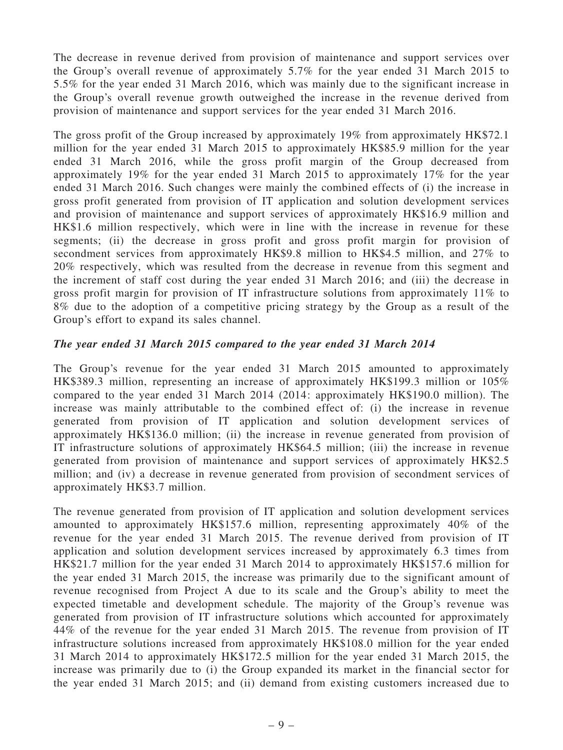The decrease in revenue derived from provision of maintenance and support services over the Group's overall revenue of approximately 5.7% for the year ended 31 March 2015 to 5.5% for the year ended 31 March 2016, which was mainly due to the significant increase in the Group's overall revenue growth outweighed the increase in the revenue derived from provision of maintenance and support services for the year ended 31 March 2016.

The gross profit of the Group increased by approximately 19% from approximately HK\$72.1 million for the year ended 31 March 2015 to approximately HK\$85.9 million for the year ended 31 March 2016, while the gross profit margin of the Group decreased from approximately 19% for the year ended 31 March 2015 to approximately 17% for the year ended 31 March 2016. Such changes were mainly the combined effects of (i) the increase in gross profit generated from provision of IT application and solution development services and provision of maintenance and support services of approximately HK\$16.9 million and HK\$1.6 million respectively, which were in line with the increase in revenue for these segments; (ii) the decrease in gross profit and gross profit margin for provision of secondment services from approximately HK\$9.8 million to HK\$4.5 million, and 27% to 20% respectively, which was resulted from the decrease in revenue from this segment and the increment of staff cost during the year ended 31 March 2016; and (iii) the decrease in gross profit margin for provision of IT infrastructure solutions from approximately 11% to 8% due to the adoption of a competitive pricing strategy by the Group as a result of the Group's effort to expand its sales channel.

#### The year ended 31 March 2015 compared to the year ended 31 March 2014

The Group's revenue for the year ended 31 March 2015 amounted to approximately HK\$389.3 million, representing an increase of approximately HK\$199.3 million or 105% compared to the year ended 31 March 2014 (2014: approximately HK\$190.0 million). The increase was mainly attributable to the combined effect of: (i) the increase in revenue generated from provision of IT application and solution development services of approximately HK\$136.0 million; (ii) the increase in revenue generated from provision of IT infrastructure solutions of approximately HK\$64.5 million; (iii) the increase in revenue generated from provision of maintenance and support services of approximately HK\$2.5 million; and (iv) a decrease in revenue generated from provision of secondment services of approximately HK\$3.7 million.

The revenue generated from provision of IT application and solution development services amounted to approximately HK\$157.6 million, representing approximately 40% of the revenue for the year ended 31 March 2015. The revenue derived from provision of IT application and solution development services increased by approximately 6.3 times from HK\$21.7 million for the year ended 31 March 2014 to approximately HK\$157.6 million for the year ended 31 March 2015, the increase was primarily due to the significant amount of revenue recognised from Project A due to its scale and the Group's ability to meet the expected timetable and development schedule. The majority of the Group's revenue was generated from provision of IT infrastructure solutions which accounted for approximately 44% of the revenue for the year ended 31 March 2015. The revenue from provision of IT infrastructure solutions increased from approximately HK\$108.0 million for the year ended 31 March 2014 to approximately HK\$172.5 million for the year ended 31 March 2015, the increase was primarily due to (i) the Group expanded its market in the financial sector for the year ended 31 March 2015; and (ii) demand from existing customers increased due to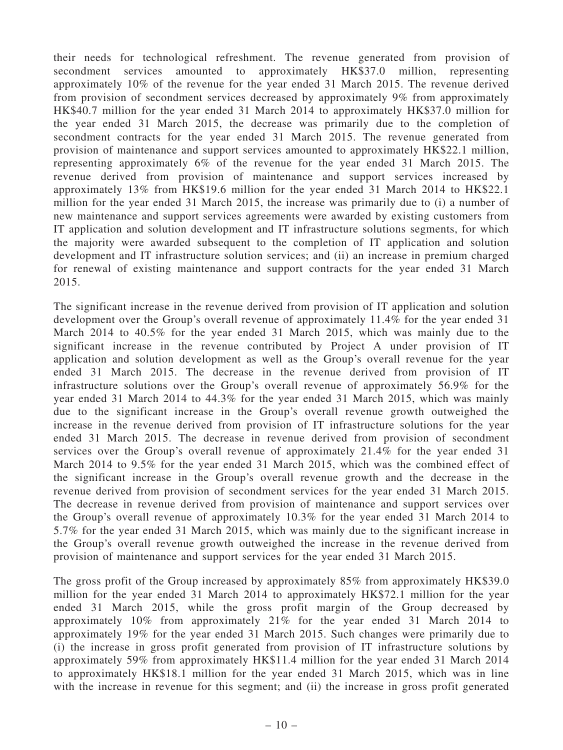their needs for technological refreshment. The revenue generated from provision of secondment services amounted to approximately HK\$37.0 million, representing approximately 10% of the revenue for the year ended 31 March 2015. The revenue derived from provision of secondment services decreased by approximately 9% from approximately HK\$40.7 million for the year ended 31 March 2014 to approximately HK\$37.0 million for the year ended 31 March 2015, the decrease was primarily due to the completion of secondment contracts for the year ended 31 March 2015. The revenue generated from provision of maintenance and support services amounted to approximately HK\$22.1 million, representing approximately 6% of the revenue for the year ended 31 March 2015. The revenue derived from provision of maintenance and support services increased by approximately 13% from HK\$19.6 million for the year ended 31 March 2014 to HK\$22.1 million for the year ended 31 March 2015, the increase was primarily due to (i) a number of new maintenance and support services agreements were awarded by existing customers from IT application and solution development and IT infrastructure solutions segments, for which the majority were awarded subsequent to the completion of IT application and solution development and IT infrastructure solution services; and (ii) an increase in premium charged for renewal of existing maintenance and support contracts for the year ended 31 March 2015.

The significant increase in the revenue derived from provision of IT application and solution development over the Group's overall revenue of approximately 11.4% for the year ended 31 March 2014 to 40.5% for the year ended 31 March 2015, which was mainly due to the significant increase in the revenue contributed by Project A under provision of IT application and solution development as well as the Group's overall revenue for the year ended 31 March 2015. The decrease in the revenue derived from provision of IT infrastructure solutions over the Group's overall revenue of approximately 56.9% for the year ended 31 March 2014 to 44.3% for the year ended 31 March 2015, which was mainly due to the significant increase in the Group's overall revenue growth outweighed the increase in the revenue derived from provision of IT infrastructure solutions for the year ended 31 March 2015. The decrease in revenue derived from provision of secondment services over the Group's overall revenue of approximately 21.4% for the year ended 31 March 2014 to 9.5% for the year ended 31 March 2015, which was the combined effect of the significant increase in the Group's overall revenue growth and the decrease in the revenue derived from provision of secondment services for the year ended 31 March 2015. The decrease in revenue derived from provision of maintenance and support services over the Group's overall revenue of approximately 10.3% for the year ended 31 March 2014 to 5.7% for the year ended 31 March 2015, which was mainly due to the significant increase in the Group's overall revenue growth outweighed the increase in the revenue derived from provision of maintenance and support services for the year ended 31 March 2015.

The gross profit of the Group increased by approximately 85% from approximately HK\$39.0 million for the year ended 31 March 2014 to approximately HK\$72.1 million for the year ended 31 March 2015, while the gross profit margin of the Group decreased by approximately 10% from approximately 21% for the year ended 31 March 2014 to approximately 19% for the year ended 31 March 2015. Such changes were primarily due to (i) the increase in gross profit generated from provision of IT infrastructure solutions by approximately 59% from approximately HK\$11.4 million for the year ended 31 March 2014 to approximately HK\$18.1 million for the year ended 31 March 2015, which was in line with the increase in revenue for this segment; and (ii) the increase in gross profit generated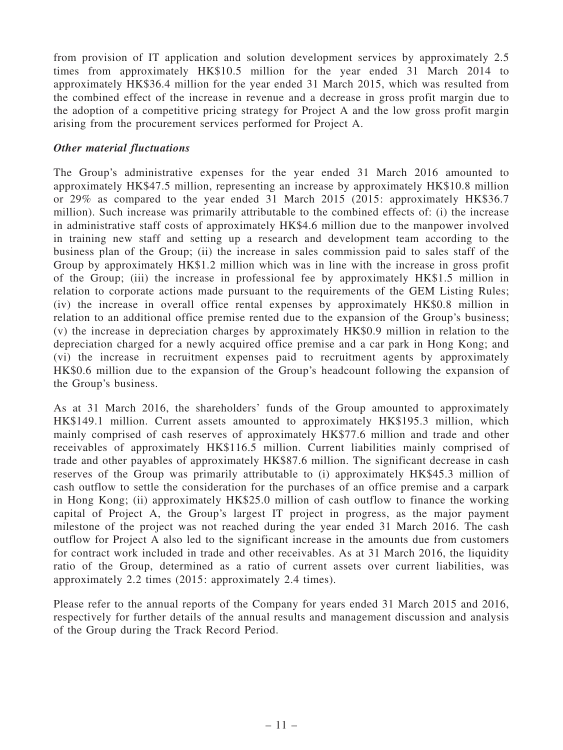from provision of IT application and solution development services by approximately 2.5 times from approximately HK\$10.5 million for the year ended 31 March 2014 to approximately HK\$36.4 million for the year ended 31 March 2015, which was resulted from the combined effect of the increase in revenue and a decrease in gross profit margin due to the adoption of a competitive pricing strategy for Project A and the low gross profit margin arising from the procurement services performed for Project A.

### Other material fluctuations

The Group's administrative expenses for the year ended 31 March 2016 amounted to approximately HK\$47.5 million, representing an increase by approximately HK\$10.8 million or 29% as compared to the year ended 31 March 2015 (2015: approximately HK\$36.7 million). Such increase was primarily attributable to the combined effects of: (i) the increase in administrative staff costs of approximately HK\$4.6 million due to the manpower involved in training new staff and setting up a research and development team according to the business plan of the Group; (ii) the increase in sales commission paid to sales staff of the Group by approximately HK\$1.2 million which was in line with the increase in gross profit of the Group; (iii) the increase in professional fee by approximately HK\$1.5 million in relation to corporate actions made pursuant to the requirements of the GEM Listing Rules; (iv) the increase in overall office rental expenses by approximately HK\$0.8 million in relation to an additional office premise rented due to the expansion of the Group's business; (v) the increase in depreciation charges by approximately HK\$0.9 million in relation to the depreciation charged for a newly acquired office premise and a car park in Hong Kong; and (vi) the increase in recruitment expenses paid to recruitment agents by approximately HK\$0.6 million due to the expansion of the Group's headcount following the expansion of the Group's business.

As at 31 March 2016, the shareholders' funds of the Group amounted to approximately HK\$149.1 million. Current assets amounted to approximately HK\$195.3 million, which mainly comprised of cash reserves of approximately HK\$77.6 million and trade and other receivables of approximately HK\$116.5 million. Current liabilities mainly comprised of trade and other payables of approximately HK\$87.6 million. The significant decrease in cash reserves of the Group was primarily attributable to (i) approximately HK\$45.3 million of cash outflow to settle the consideration for the purchases of an office premise and a carpark in Hong Kong; (ii) approximately HK\$25.0 million of cash outflow to finance the working capital of Project A, the Group's largest IT project in progress, as the major payment milestone of the project was not reached during the year ended 31 March 2016. The cash outflow for Project A also led to the significant increase in the amounts due from customers for contract work included in trade and other receivables. As at 31 March 2016, the liquidity ratio of the Group, determined as a ratio of current assets over current liabilities, was approximately 2.2 times (2015: approximately 2.4 times).

Please refer to the annual reports of the Company for years ended 31 March 2015 and 2016, respectively for further details of the annual results and management discussion and analysis of the Group during the Track Record Period.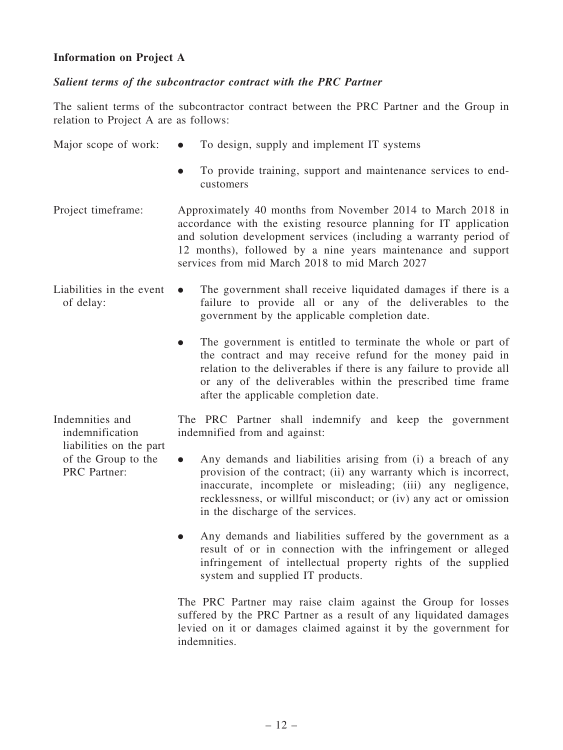## Information on Project A

#### Salient terms of the subcontractor contract with the PRC Partner

The salient terms of the subcontractor contract between the PRC Partner and the Group in relation to Project A are as follows:

|  | Major scope of work: |  | To design, supply and implement IT systems |  |  |  |
|--|----------------------|--|--------------------------------------------|--|--|--|
|--|----------------------|--|--------------------------------------------|--|--|--|

- . To provide training, support and maintenance services to endcustomers
- Project timeframe: Approximately 40 months from November 2014 to March 2018 in accordance with the existing resource planning for IT application and solution development services (including a warranty period of 12 months), followed by a nine years maintenance and support services from mid March 2018 to mid March 2027
- Liabilities in the event of delay: . The government shall receive liquidated damages if there is a failure to provide all or any of the deliverables to the government by the applicable completion date.
	- . The government is entitled to terminate the whole or part of the contract and may receive refund for the money paid in relation to the deliverables if there is any failure to provide all or any of the deliverables within the prescribed time frame after the applicable completion date.

Indemnities and indemnification liabilities on the part of the Group to the PRC Partner:

The PRC Partner shall indemnify and keep the government indemnified from and against:

- . Any demands and liabilities arising from (i) a breach of any provision of the contract; (ii) any warranty which is incorrect, inaccurate, incomplete or misleading; (iii) any negligence, recklessness, or willful misconduct; or (iv) any act or omission in the discharge of the services.
- . Any demands and liabilities suffered by the government as a result of or in connection with the infringement or alleged infringement of intellectual property rights of the supplied system and supplied IT products.

The PRC Partner may raise claim against the Group for losses suffered by the PRC Partner as a result of any liquidated damages levied on it or damages claimed against it by the government for indemnities.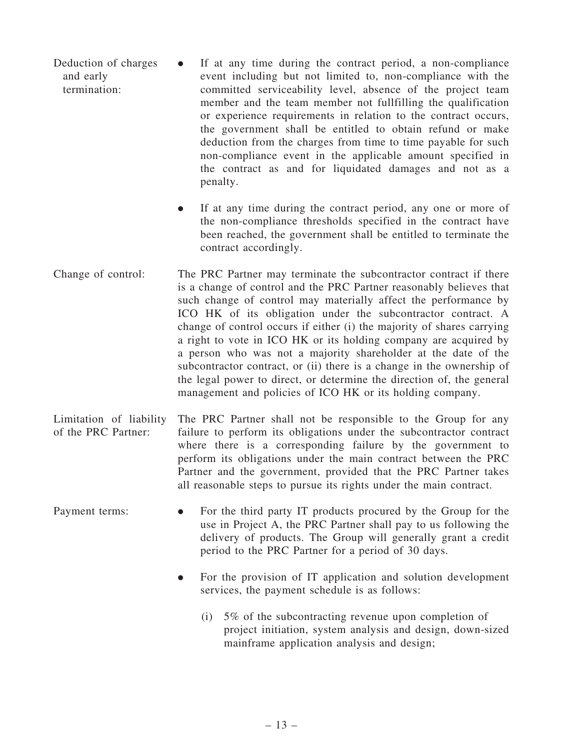Deduction of charges and early termination: . If at any time during the contract period, a non-compliance event including but not limited to, non-compliance with the committed serviceability level, absence of the project team member and the team member not fullfilling the qualification or experience requirements in relation to the contract occurs, the government shall be entitled to obtain refund or make deduction from the charges from time to time payable for such non-compliance event in the applicable amount specified in the contract as and for liquidated damages and not as a penalty.

> . If at any time during the contract period, any one or more of the non-compliance thresholds specified in the contract have been reached, the government shall be entitled to terminate the contract accordingly.

- Change of control: The PRC Partner may terminate the subcontractor contract if there is a change of control and the PRC Partner reasonably believes that such change of control may materially affect the performance by ICO HK of its obligation under the subcontractor contract. A change of control occurs if either (i) the majority of shares carrying a right to vote in ICO HK or its holding company are acquired by a person who was not a majority shareholder at the date of the subcontractor contract, or (ii) there is a change in the ownership of the legal power to direct, or determine the direction of, the general management and policies of ICO HK or its holding company.
- Limitation of liability of the PRC Partner: The PRC Partner shall not be responsible to the Group for any failure to perform its obligations under the subcontractor contract where there is a corresponding failure by the government to perform its obligations under the main contract between the PRC Partner and the government, provided that the PRC Partner takes all reasonable steps to pursue its rights under the main contract.
- Payment terms: For the third party IT products procured by the Group for the use in Project A, the PRC Partner shall pay to us following the delivery of products. The Group will generally grant a credit period to the PRC Partner for a period of 30 days.
	- . For the provision of IT application and solution development services, the payment schedule is as follows:
		- (i) 5% of the subcontracting revenue upon completion of project initiation, system analysis and design, down-sized mainframe application analysis and design;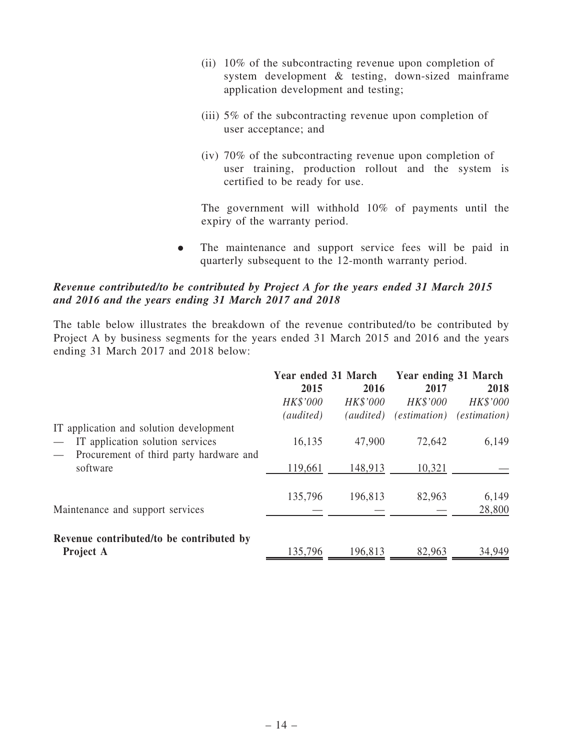- (ii) 10% of the subcontracting revenue upon completion of system development & testing, down-sized mainframe application development and testing;
- (iii) 5% of the subcontracting revenue upon completion of user acceptance; and
- (iv) 70% of the subcontracting revenue upon completion of user training, production rollout and the system is certified to be ready for use.

The government will withhold 10% of payments until the expiry of the warranty period.

. The maintenance and support service fees will be paid in quarterly subsequent to the 12-month warranty period.

### Revenue contributed/to be contributed by Project A for the years ended 31 March 2015 and 2016 and the years ending 31 March 2017 and 2018

The table below illustrates the breakdown of the revenue contributed/to be contributed by Project A by business segments for the years ended 31 March 2015 and 2016 and the years ending 31 March 2017 and 2018 below:

|                                                                                                                        | Year ended 31 March |                 | Year ending 31 March |                     |  |
|------------------------------------------------------------------------------------------------------------------------|---------------------|-----------------|----------------------|---------------------|--|
|                                                                                                                        | 2015                | 2016            | 2017                 | 2018                |  |
|                                                                                                                        | HK\$'000            | <b>HK\$'000</b> | <b>HK\$'000</b>      | <b>HK\$'000</b>     |  |
|                                                                                                                        | (audited)           | (audited)       | <i>(estimation)</i>  | <i>(estimation)</i> |  |
| IT application and solution development<br>IT application solution services<br>Procurement of third party hardware and | 16,135              | 47,900          | 72,642               | 6,149               |  |
| software                                                                                                               | 119,661             | 148,913         | 10,321               |                     |  |
|                                                                                                                        |                     |                 |                      |                     |  |
| Maintenance and support services                                                                                       | 135,796             | 196,813         | 82,963               | 6,149<br>28,800     |  |
| Revenue contributed/to be contributed by<br>Project A                                                                  | 135,796             | 196,813         | 82,963               | 34,949              |  |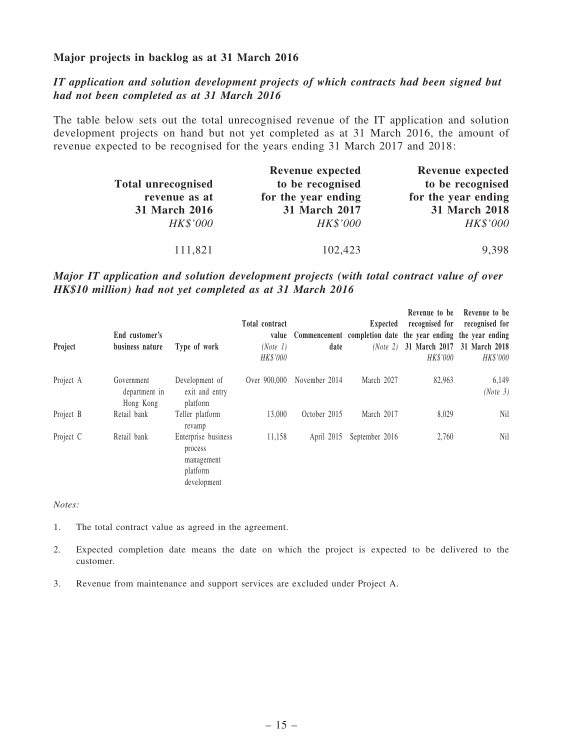#### Major projects in backlog as at 31 March 2016

## IT application and solution development projects of which contracts had been signed but had not been completed as at 31 March 2016

The table below sets out the total unrecognised revenue of the IT application and solution development projects on hand but not yet completed as at 31 March 2016, the amount of revenue expected to be recognised for the years ending 31 March 2017 and 2018:

|                           | <b>Revenue expected</b> | <b>Revenue expected</b> |
|---------------------------|-------------------------|-------------------------|
| <b>Total unrecognised</b> | to be recognised        | to be recognised        |
| revenue as at             | for the year ending     | for the year ending     |
| 31 March 2016             | 31 March 2017           | 31 March 2018           |
| <b>HK\$'000</b>           | <b>HK\$'000</b>         | <b>HK\$'000</b>         |
| 111,821                   | 102,423                 | 9,398                   |

## Major IT application and solution development projects (with total contract value of over HK\$10 million) had not yet completed as at 31 March 2016

| Project   | End customer's<br>business nature        | Type of work                                                            | <b>Total contract</b><br>value<br>(Note 1)<br>HK\$'000 | date          | Expected       | Revenue to be<br>recognised for<br>Commencement completion date the year ending the year ending<br>(Note 2) 31 March 2017 31 March 2018<br>HK\$'000 | Revenue to be<br>recognised for<br>HK\$'000 |
|-----------|------------------------------------------|-------------------------------------------------------------------------|--------------------------------------------------------|---------------|----------------|-----------------------------------------------------------------------------------------------------------------------------------------------------|---------------------------------------------|
| Project A | Government<br>department in<br>Hong Kong | Development of<br>exit and entry<br>platform                            | Over 900,000                                           | November 2014 | March 2027     | 82,963                                                                                                                                              | 6,149<br>(Note 3)                           |
| Project B | Retail bank                              | Teller platform<br>revamp                                               | 13,000                                                 | October 2015  | March 2017     | 8,029                                                                                                                                               | <b>Nil</b>                                  |
| Project C | Retail bank                              | Enterprise business<br>process<br>management<br>platform<br>development | 11,158                                                 | April 2015    | September 2016 | 2,760                                                                                                                                               | <b>Nil</b>                                  |

*Notes:*

- 1. The total contract value as agreed in the agreement.
- 2. Expected completion date means the date on which the project is expected to be delivered to the customer.
- 3. Revenue from maintenance and support services are excluded under Project A.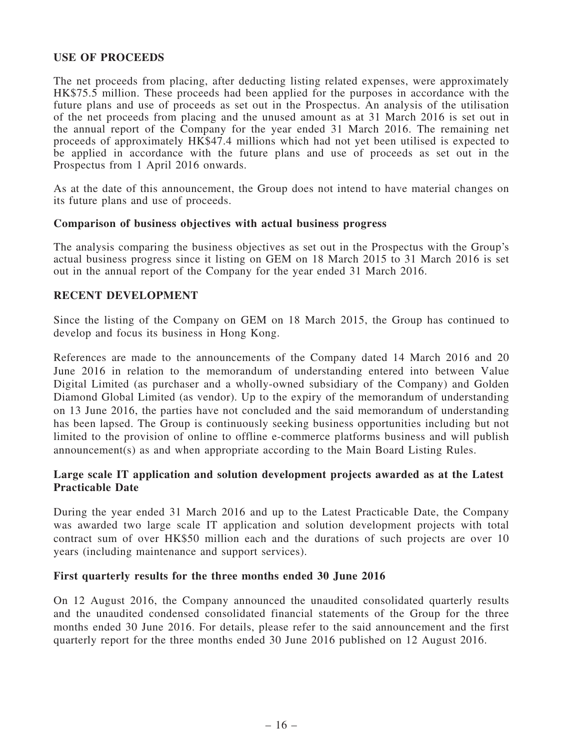## USE OF PROCEEDS

The net proceeds from placing, after deducting listing related expenses, were approximately HK\$75.5 million. These proceeds had been applied for the purposes in accordance with the future plans and use of proceeds as set out in the Prospectus. An analysis of the utilisation of the net proceeds from placing and the unused amount as at 31 March 2016 is set out in the annual report of the Company for the year ended 31 March 2016. The remaining net proceeds of approximately HK\$47.4 millions which had not yet been utilised is expected to be applied in accordance with the future plans and use of proceeds as set out in the Prospectus from 1 April 2016 onwards.

As at the date of this announcement, the Group does not intend to have material changes on its future plans and use of proceeds.

#### Comparison of business objectives with actual business progress

The analysis comparing the business objectives as set out in the Prospectus with the Group's actual business progress since it listing on GEM on 18 March 2015 to 31 March 2016 is set out in the annual report of the Company for the year ended 31 March 2016.

#### RECENT DEVELOPMENT

Since the listing of the Company on GEM on 18 March 2015, the Group has continued to develop and focus its business in Hong Kong.

References are made to the announcements of the Company dated 14 March 2016 and 20 June 2016 in relation to the memorandum of understanding entered into between Value Digital Limited (as purchaser and a wholly-owned subsidiary of the Company) and Golden Diamond Global Limited (as vendor). Up to the expiry of the memorandum of understanding on 13 June 2016, the parties have not concluded and the said memorandum of understanding has been lapsed. The Group is continuously seeking business opportunities including but not limited to the provision of online to offline e-commerce platforms business and will publish announcement(s) as and when appropriate according to the Main Board Listing Rules.

## Large scale IT application and solution development projects awarded as at the Latest Practicable Date

During the year ended 31 March 2016 and up to the Latest Practicable Date, the Company was awarded two large scale IT application and solution development projects with total contract sum of over HK\$50 million each and the durations of such projects are over 10 years (including maintenance and support services).

#### First quarterly results for the three months ended 30 June 2016

On 12 August 2016, the Company announced the unaudited consolidated quarterly results and the unaudited condensed consolidated financial statements of the Group for the three months ended 30 June 2016. For details, please refer to the said announcement and the first quarterly report for the three months ended 30 June 2016 published on 12 August 2016.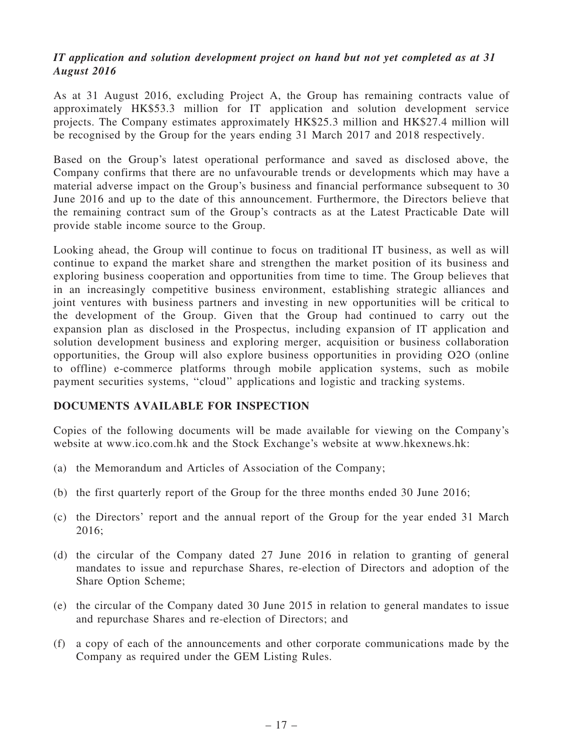## IT application and solution development project on hand but not yet completed as at 31 August 2016

As at 31 August 2016, excluding Project A, the Group has remaining contracts value of approximately HK\$53.3 million for IT application and solution development service projects. The Company estimates approximately HK\$25.3 million and HK\$27.4 million will be recognised by the Group for the years ending 31 March 2017 and 2018 respectively.

Based on the Group's latest operational performance and saved as disclosed above, the Company confirms that there are no unfavourable trends or developments which may have a material adverse impact on the Group's business and financial performance subsequent to 30 June 2016 and up to the date of this announcement. Furthermore, the Directors believe that the remaining contract sum of the Group's contracts as at the Latest Practicable Date will provide stable income source to the Group.

Looking ahead, the Group will continue to focus on traditional IT business, as well as will continue to expand the market share and strengthen the market position of its business and exploring business cooperation and opportunities from time to time. The Group believes that in an increasingly competitive business environment, establishing strategic alliances and joint ventures with business partners and investing in new opportunities will be critical to the development of the Group. Given that the Group had continued to carry out the expansion plan as disclosed in the Prospectus, including expansion of IT application and solution development business and exploring merger, acquisition or business collaboration opportunities, the Group will also explore business opportunities in providing O2O (online to offline) e-commerce platforms through mobile application systems, such as mobile payment securities systems, ''cloud'' applications and logistic and tracking systems.

## DOCUMENTS AVAILABLE FOR INSPECTION

Copies of the following documents will be made available for viewing on the Company's website at www.ico.com.hk and the Stock Exchange's website at www.hkexnews.hk:

- (a) the Memorandum and Articles of Association of the Company;
- (b) the first quarterly report of the Group for the three months ended 30 June 2016;
- (c) the Directors' report and the annual report of the Group for the year ended 31 March 2016;
- (d) the circular of the Company dated 27 June 2016 in relation to granting of general mandates to issue and repurchase Shares, re-election of Directors and adoption of the Share Option Scheme;
- (e) the circular of the Company dated 30 June 2015 in relation to general mandates to issue and repurchase Shares and re-election of Directors; and
- (f) a copy of each of the announcements and other corporate communications made by the Company as required under the GEM Listing Rules.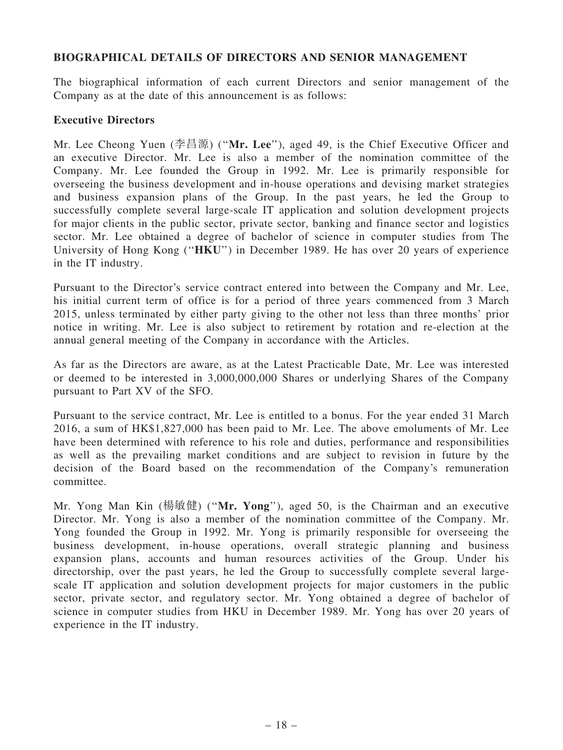## BIOGRAPHICAL DETAILS OF DIRECTORS AND SENIOR MANAGEMENT

The biographical information of each current Directors and senior management of the Company as at the date of this announcement is as follows:

#### Executive Directors

Mr. Lee Cheong Yuen (李昌源) (''Mr. Lee''), aged 49, is the Chief Executive Officer and an executive Director. Mr. Lee is also a member of the nomination committee of the Company. Mr. Lee founded the Group in 1992. Mr. Lee is primarily responsible for overseeing the business development and in-house operations and devising market strategies and business expansion plans of the Group. In the past years, he led the Group to successfully complete several large-scale IT application and solution development projects for major clients in the public sector, private sector, banking and finance sector and logistics sector. Mr. Lee obtained a degree of bachelor of science in computer studies from The University of Hong Kong ("HKU") in December 1989. He has over 20 years of experience in the IT industry.

Pursuant to the Director's service contract entered into between the Company and Mr. Lee, his initial current term of office is for a period of three years commenced from 3 March 2015, unless terminated by either party giving to the other not less than three months' prior notice in writing. Mr. Lee is also subject to retirement by rotation and re-election at the annual general meeting of the Company in accordance with the Articles.

As far as the Directors are aware, as at the Latest Practicable Date, Mr. Lee was interested or deemed to be interested in 3,000,000,000 Shares or underlying Shares of the Company pursuant to Part XV of the SFO.

Pursuant to the service contract, Mr. Lee is entitled to a bonus. For the year ended 31 March 2016, a sum of HK\$1,827,000 has been paid to Mr. Lee. The above emoluments of Mr. Lee have been determined with reference to his role and duties, performance and responsibilities as well as the prevailing market conditions and are subject to revision in future by the decision of the Board based on the recommendation of the Company's remuneration committee.

Mr. Yong Man Kin (楊敏健) (''Mr. Yong''), aged 50, is the Chairman and an executive Director. Mr. Yong is also a member of the nomination committee of the Company. Mr. Yong founded the Group in 1992. Mr. Yong is primarily responsible for overseeing the business development, in-house operations, overall strategic planning and business expansion plans, accounts and human resources activities of the Group. Under his directorship, over the past years, he led the Group to successfully complete several largescale IT application and solution development projects for major customers in the public sector, private sector, and regulatory sector. Mr. Yong obtained a degree of bachelor of science in computer studies from HKU in December 1989. Mr. Yong has over 20 years of experience in the IT industry.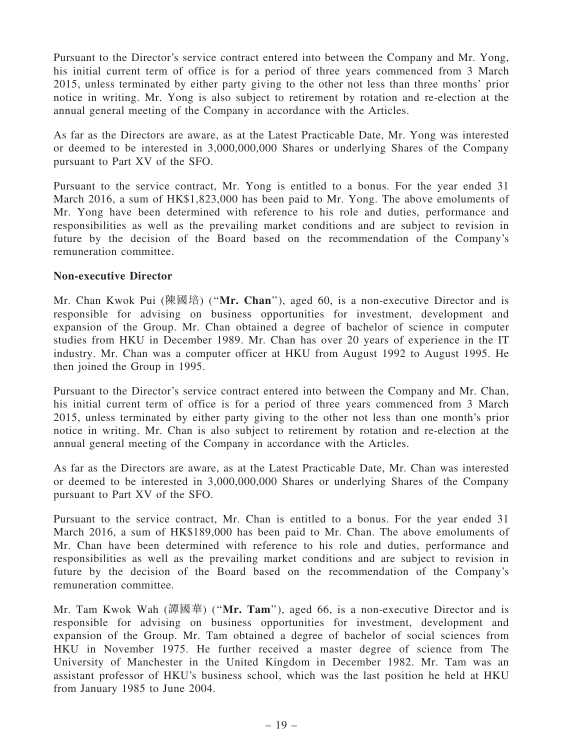Pursuant to the Director's service contract entered into between the Company and Mr. Yong, his initial current term of office is for a period of three years commenced from 3 March 2015, unless terminated by either party giving to the other not less than three months' prior notice in writing. Mr. Yong is also subject to retirement by rotation and re-election at the annual general meeting of the Company in accordance with the Articles.

As far as the Directors are aware, as at the Latest Practicable Date, Mr. Yong was interested or deemed to be interested in 3,000,000,000 Shares or underlying Shares of the Company pursuant to Part XV of the SFO.

Pursuant to the service contract, Mr. Yong is entitled to a bonus. For the year ended 31 March 2016, a sum of HK\$1,823,000 has been paid to Mr. Yong. The above emoluments of Mr. Yong have been determined with reference to his role and duties, performance and responsibilities as well as the prevailing market conditions and are subject to revision in future by the decision of the Board based on the recommendation of the Company's remuneration committee.

#### Non-executive Director

Mr. Chan Kwok Pui (陳國培) ("Mr. Chan"), aged 60, is a non-executive Director and is responsible for advising on business opportunities for investment, development and expansion of the Group. Mr. Chan obtained a degree of bachelor of science in computer studies from HKU in December 1989. Mr. Chan has over 20 years of experience in the IT industry. Mr. Chan was a computer officer at HKU from August 1992 to August 1995. He then joined the Group in 1995.

Pursuant to the Director's service contract entered into between the Company and Mr. Chan, his initial current term of office is for a period of three years commenced from 3 March 2015, unless terminated by either party giving to the other not less than one month's prior notice in writing. Mr. Chan is also subject to retirement by rotation and re-election at the annual general meeting of the Company in accordance with the Articles.

As far as the Directors are aware, as at the Latest Practicable Date, Mr. Chan was interested or deemed to be interested in 3,000,000,000 Shares or underlying Shares of the Company pursuant to Part XV of the SFO.

Pursuant to the service contract, Mr. Chan is entitled to a bonus. For the year ended 31 March 2016, a sum of HK\$189,000 has been paid to Mr. Chan. The above emoluments of Mr. Chan have been determined with reference to his role and duties, performance and responsibilities as well as the prevailing market conditions and are subject to revision in future by the decision of the Board based on the recommendation of the Company's remuneration committee.

Mr. Tam Kwok Wah  $(\mathbb{m}\boxtimes \mathbb{m})$  ("Mr. Tam"), aged 66, is a non-executive Director and is responsible for advising on business opportunities for investment, development and expansion of the Group. Mr. Tam obtained a degree of bachelor of social sciences from HKU in November 1975. He further received a master degree of science from The University of Manchester in the United Kingdom in December 1982. Mr. Tam was an assistant professor of HKU's business school, which was the last position he held at HKU from January 1985 to June 2004.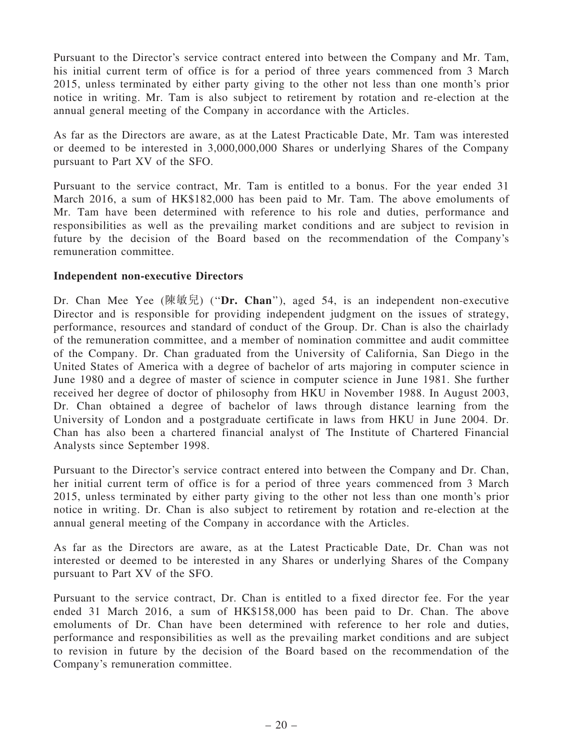Pursuant to the Director's service contract entered into between the Company and Mr. Tam, his initial current term of office is for a period of three years commenced from 3 March 2015, unless terminated by either party giving to the other not less than one month's prior notice in writing. Mr. Tam is also subject to retirement by rotation and re-election at the annual general meeting of the Company in accordance with the Articles.

As far as the Directors are aware, as at the Latest Practicable Date, Mr. Tam was interested or deemed to be interested in 3,000,000,000 Shares or underlying Shares of the Company pursuant to Part XV of the SFO.

Pursuant to the service contract, Mr. Tam is entitled to a bonus. For the year ended 31 March 2016, a sum of HK\$182,000 has been paid to Mr. Tam. The above emoluments of Mr. Tam have been determined with reference to his role and duties, performance and responsibilities as well as the prevailing market conditions and are subject to revision in future by the decision of the Board based on the recommendation of the Company's remuneration committee.

## Independent non-executive Directors

Dr. Chan Mee Yee  $(\notimes \mathbb{R})$  ("Dr. Chan"), aged 54, is an independent non-executive Director and is responsible for providing independent judgment on the issues of strategy, performance, resources and standard of conduct of the Group. Dr. Chan is also the chairlady of the remuneration committee, and a member of nomination committee and audit committee of the Company. Dr. Chan graduated from the University of California, San Diego in the United States of America with a degree of bachelor of arts majoring in computer science in June 1980 and a degree of master of science in computer science in June 1981. She further received her degree of doctor of philosophy from HKU in November 1988. In August 2003, Dr. Chan obtained a degree of bachelor of laws through distance learning from the University of London and a postgraduate certificate in laws from HKU in June 2004. Dr. Chan has also been a chartered financial analyst of The Institute of Chartered Financial Analysts since September 1998.

Pursuant to the Director's service contract entered into between the Company and Dr. Chan, her initial current term of office is for a period of three years commenced from 3 March 2015, unless terminated by either party giving to the other not less than one month's prior notice in writing. Dr. Chan is also subject to retirement by rotation and re-election at the annual general meeting of the Company in accordance with the Articles.

As far as the Directors are aware, as at the Latest Practicable Date, Dr. Chan was not interested or deemed to be interested in any Shares or underlying Shares of the Company pursuant to Part XV of the SFO.

Pursuant to the service contract, Dr. Chan is entitled to a fixed director fee. For the year ended 31 March 2016, a sum of HK\$158,000 has been paid to Dr. Chan. The above emoluments of Dr. Chan have been determined with reference to her role and duties, performance and responsibilities as well as the prevailing market conditions and are subject to revision in future by the decision of the Board based on the recommendation of the Company's remuneration committee.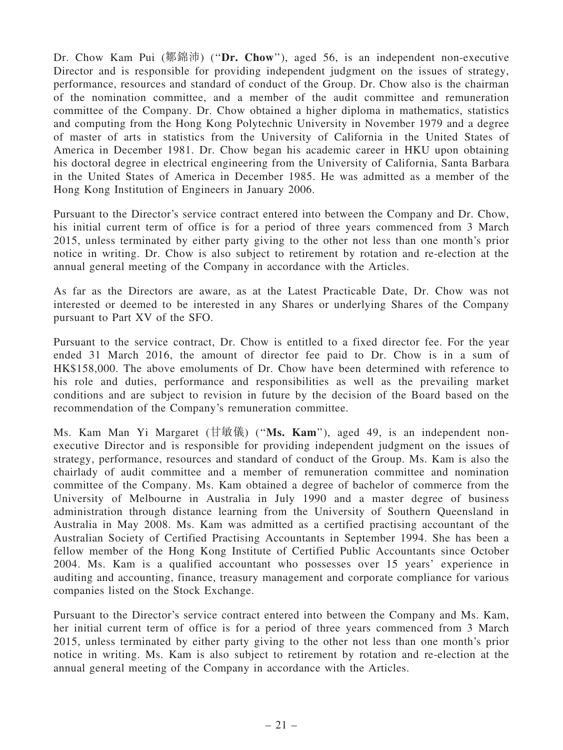Dr. Chow Kam Pui (鄒錦沛) ("Dr. Chow"), aged 56, is an independent non-executive Director and is responsible for providing independent judgment on the issues of strategy, performance, resources and standard of conduct of the Group. Dr. Chow also is the chairman of the nomination committee, and a member of the audit committee and remuneration committee of the Company. Dr. Chow obtained a higher diploma in mathematics, statistics and computing from the Hong Kong Polytechnic University in November 1979 and a degree of master of arts in statistics from the University of California in the United States of America in December 1981. Dr. Chow began his academic career in HKU upon obtaining his doctoral degree in electrical engineering from the University of California, Santa Barbara in the United States of America in December 1985. He was admitted as a member of the Hong Kong Institution of Engineers in January 2006.

Pursuant to the Director's service contract entered into between the Company and Dr. Chow, his initial current term of office is for a period of three years commenced from 3 March 2015, unless terminated by either party giving to the other not less than one month's prior notice in writing. Dr. Chow is also subject to retirement by rotation and re-election at the annual general meeting of the Company in accordance with the Articles.

As far as the Directors are aware, as at the Latest Practicable Date, Dr. Chow was not interested or deemed to be interested in any Shares or underlying Shares of the Company pursuant to Part XV of the SFO.

Pursuant to the service contract, Dr. Chow is entitled to a fixed director fee. For the year ended 31 March 2016, the amount of director fee paid to Dr. Chow is in a sum of HK\$158,000. The above emoluments of Dr. Chow have been determined with reference to his role and duties, performance and responsibilities as well as the prevailing market conditions and are subject to revision in future by the decision of the Board based on the recommendation of the Company's remuneration committee.

Ms. Kam Man Yi Margaret (甘敏儀) ("Ms. Kam"), aged 49, is an independent nonexecutive Director and is responsible for providing independent judgment on the issues of strategy, performance, resources and standard of conduct of the Group. Ms. Kam is also the chairlady of audit committee and a member of remuneration committee and nomination committee of the Company. Ms. Kam obtained a degree of bachelor of commerce from the University of Melbourne in Australia in July 1990 and a master degree of business administration through distance learning from the University of Southern Queensland in Australia in May 2008. Ms. Kam was admitted as a certified practising accountant of the Australian Society of Certified Practising Accountants in September 1994. She has been a fellow member of the Hong Kong Institute of Certified Public Accountants since October 2004. Ms. Kam is a qualified accountant who possesses over 15 years' experience in auditing and accounting, finance, treasury management and corporate compliance for various companies listed on the Stock Exchange.

Pursuant to the Director's service contract entered into between the Company and Ms. Kam, her initial current term of office is for a period of three years commenced from 3 March 2015, unless terminated by either party giving to the other not less than one month's prior notice in writing. Ms. Kam is also subject to retirement by rotation and re-election at the annual general meeting of the Company in accordance with the Articles.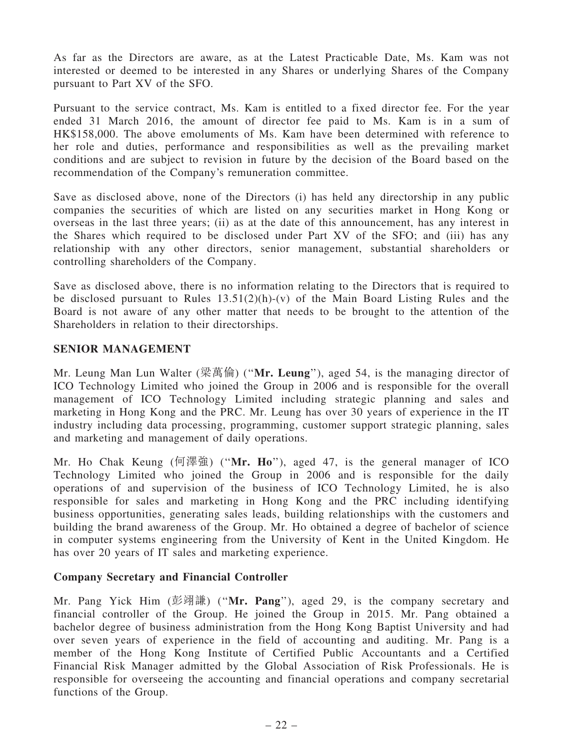As far as the Directors are aware, as at the Latest Practicable Date, Ms. Kam was not interested or deemed to be interested in any Shares or underlying Shares of the Company pursuant to Part XV of the SFO.

Pursuant to the service contract, Ms. Kam is entitled to a fixed director fee. For the year ended 31 March 2016, the amount of director fee paid to Ms. Kam is in a sum of HK\$158,000. The above emoluments of Ms. Kam have been determined with reference to her role and duties, performance and responsibilities as well as the prevailing market conditions and are subject to revision in future by the decision of the Board based on the recommendation of the Company's remuneration committee.

Save as disclosed above, none of the Directors (i) has held any directorship in any public companies the securities of which are listed on any securities market in Hong Kong or overseas in the last three years; (ii) as at the date of this announcement, has any interest in the Shares which required to be disclosed under Part XV of the SFO; and (iii) has any relationship with any other directors, senior management, substantial shareholders or controlling shareholders of the Company.

Save as disclosed above, there is no information relating to the Directors that is required to be disclosed pursuant to Rules  $13.51(2)(h)-(v)$  of the Main Board Listing Rules and the Board is not aware of any other matter that needs to be brought to the attention of the Shareholders in relation to their directorships.

#### SENIOR MANAGEMENT

Mr. Leung Man Lun Walter (梁萬倫) (''Mr. Leung''), aged 54, is the managing director of ICO Technology Limited who joined the Group in 2006 and is responsible for the overall management of ICO Technology Limited including strategic planning and sales and marketing in Hong Kong and the PRC. Mr. Leung has over 30 years of experience in the IT industry including data processing, programming, customer support strategic planning, sales and marketing and management of daily operations.

Mr. Ho Chak Keung (何澤強) ("Mr. Ho"), aged 47, is the general manager of ICO Technology Limited who joined the Group in 2006 and is responsible for the daily operations of and supervision of the business of ICO Technology Limited, he is also responsible for sales and marketing in Hong Kong and the PRC including identifying business opportunities, generating sales leads, building relationships with the customers and building the brand awareness of the Group. Mr. Ho obtained a degree of bachelor of science in computer systems engineering from the University of Kent in the United Kingdom. He has over 20 years of IT sales and marketing experience.

## Company Secretary and Financial Controller

Mr. Pang Yick Him (彭翊謙) (''Mr. Pang''), aged 29, is the company secretary and financial controller of the Group. He joined the Group in 2015. Mr. Pang obtained a bachelor degree of business administration from the Hong Kong Baptist University and had over seven years of experience in the field of accounting and auditing. Mr. Pang is a member of the Hong Kong Institute of Certified Public Accountants and a Certified Financial Risk Manager admitted by the Global Association of Risk Professionals. He is responsible for overseeing the accounting and financial operations and company secretarial functions of the Group.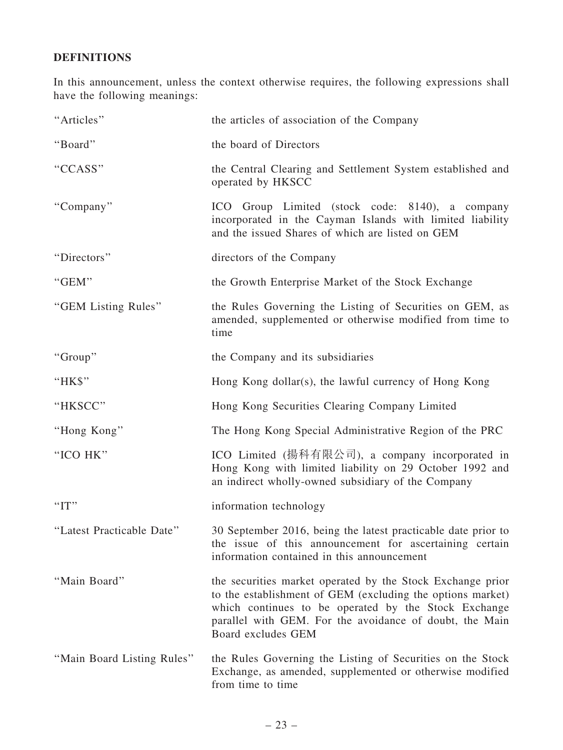# DEFINITIONS

In this announcement, unless the context otherwise requires, the following expressions shall have the following meanings:

| "Articles"                 | the articles of association of the Company                                                                                                                                                                                                                        |
|----------------------------|-------------------------------------------------------------------------------------------------------------------------------------------------------------------------------------------------------------------------------------------------------------------|
| "Board"                    | the board of Directors                                                                                                                                                                                                                                            |
| "CCASS"                    | the Central Clearing and Settlement System established and<br>operated by HKSCC                                                                                                                                                                                   |
| "Company"                  | ICO Group Limited (stock code: 8140), a company<br>incorporated in the Cayman Islands with limited liability<br>and the issued Shares of which are listed on GEM                                                                                                  |
| "Directors"                | directors of the Company                                                                                                                                                                                                                                          |
| "GEM"                      | the Growth Enterprise Market of the Stock Exchange                                                                                                                                                                                                                |
| "GEM Listing Rules"        | the Rules Governing the Listing of Securities on GEM, as<br>amended, supplemented or otherwise modified from time to<br>time                                                                                                                                      |
| "Group"                    | the Company and its subsidiaries                                                                                                                                                                                                                                  |
| "HK\$"                     | Hong Kong dollar(s), the lawful currency of Hong Kong                                                                                                                                                                                                             |
| "HKSCC"                    | Hong Kong Securities Clearing Company Limited                                                                                                                                                                                                                     |
| "Hong Kong"                | The Hong Kong Special Administrative Region of the PRC                                                                                                                                                                                                            |
| "ICO HK"                   | ICO Limited (揚科有限公司), a company incorporated in<br>Hong Kong with limited liability on 29 October 1992 and<br>an indirect wholly-owned subsidiary of the Company                                                                                                  |
| "IT"                       | information technology                                                                                                                                                                                                                                            |
| "Latest Practicable Date"  | 30 September 2016, being the latest practicable date prior to<br>the issue of this announcement for ascertaining certain<br>information contained in this announcement                                                                                            |
| "Main Board"               | the securities market operated by the Stock Exchange prior<br>to the establishment of GEM (excluding the options market)<br>which continues to be operated by the Stock Exchange<br>parallel with GEM. For the avoidance of doubt, the Main<br>Board excludes GEM |
| "Main Board Listing Rules" | the Rules Governing the Listing of Securities on the Stock<br>Exchange, as amended, supplemented or otherwise modified<br>from time to time                                                                                                                       |